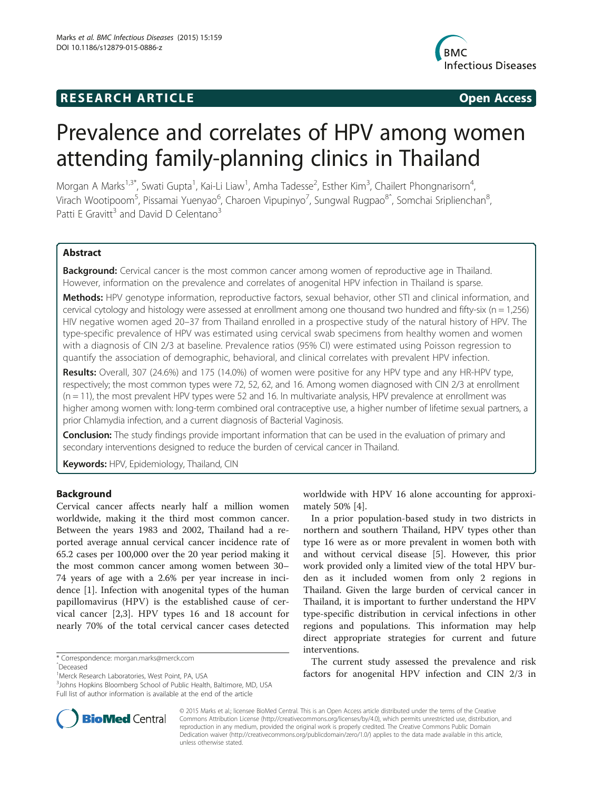## **RESEARCH ARTICLE Example 2014 CONSIDERING CONSIDERING CONSIDERING CONSIDERING CONSIDERING CONSIDERING CONSIDERING CONSIDERING CONSIDERING CONSIDERING CONSIDERING CONSIDERING CONSIDERING CONSIDERING CONSIDERING CONSIDE**



# Prevalence and correlates of HPV among women attending family-planning clinics in Thailand

Morgan A Marks<sup>1,3\*</sup>, Swati Gupta<sup>1</sup>, Kai-Li Liaw<sup>1</sup>, Amha Tadesse<sup>2</sup>, Esther Kim<sup>3</sup>, Chailert Phongnarisorn<sup>4</sup> , Virach Wootipoom<sup>5</sup>, Pissamai Yuenyao<sup>6</sup>, Charoen Vipupinyo<sup>7</sup>, Sungwal Rugpao<sup>8</sup>ˆ, Somchai Sriplienchan<sup>8</sup> , Patti E Gravitt<sup>3</sup> and David D Celentano<sup>3</sup>

## Abstract

**Background:** Cervical cancer is the most common cancer among women of reproductive age in Thailand. However, information on the prevalence and correlates of anogenital HPV infection in Thailand is sparse.

Methods: HPV genotype information, reproductive factors, sexual behavior, other STI and clinical information, and cervical cytology and histology were assessed at enrollment among one thousand two hundred and fifty-six ( $n = 1,256$ ) HIV negative women aged 20–37 from Thailand enrolled in a prospective study of the natural history of HPV. The type-specific prevalence of HPV was estimated using cervical swab specimens from healthy women and women with a diagnosis of CIN 2/3 at baseline. Prevalence ratios (95% CI) were estimated using Poisson regression to quantify the association of demographic, behavioral, and clinical correlates with prevalent HPV infection.

Results: Overall, 307 (24.6%) and 175 (14.0%) of women were positive for any HPV type and any HR-HPV type, respectively; the most common types were 72, 52, 62, and 16. Among women diagnosed with CIN 2/3 at enrollment (n = 11), the most prevalent HPV types were 52 and 16. In multivariate analysis, HPV prevalence at enrollment was higher among women with: long-term combined oral contraceptive use, a higher number of lifetime sexual partners, a prior Chlamydia infection, and a current diagnosis of Bacterial Vaginosis.

**Conclusion:** The study findings provide important information that can be used in the evaluation of primary and secondary interventions designed to reduce the burden of cervical cancer in Thailand.

Keywords: HPV, Epidemiology, Thailand, CIN

## Background

Cervical cancer affects nearly half a million women worldwide, making it the third most common cancer. Between the years 1983 and 2002, Thailand had a reported average annual cervical cancer incidence rate of 65.2 cases per 100,000 over the 20 year period making it the most common cancer among women between 30– 74 years of age with a 2.6% per year increase in incidence [\[1](#page-9-0)]. Infection with anogenital types of the human papillomavirus (HPV) is the established cause of cervical cancer [[2,3](#page-9-0)]. HPV types 16 and 18 account for nearly 70% of the total cervical cancer cases detected



In a prior population-based study in two districts in northern and southern Thailand, HPV types other than type 16 were as or more prevalent in women both with and without cervical disease [[5\]](#page-9-0). However, this prior work provided only a limited view of the total HPV burden as it included women from only 2 regions in Thailand. Given the large burden of cervical cancer in Thailand, it is important to further understand the HPV type-specific distribution in cervical infections in other regions and populations. This information may help direct appropriate strategies for current and future interventions.

The current study assessed the prevalence and risk factors for anogenital HPV infection and CIN 2/3 in



© 2015 Marks et al.; licensee BioMed Central. This is an Open Access article distributed under the terms of the Creative Commons Attribution License [\(http://creativecommons.org/licenses/by/4.0\)](http://creativecommons.org/licenses/by/4.0), which permits unrestricted use, distribution, and reproduction in any medium, provided the original work is properly credited. The Creative Commons Public Domain Dedication waiver [\(http://creativecommons.org/publicdomain/zero/1.0/](http://creativecommons.org/publicdomain/zero/1.0/)) applies to the data made available in this article, unless otherwise stated.

<sup>\*</sup> Correspondence: [morgan.marks@merck.com](mailto:morgan.marks@merck.com) <sup>ˆ</sup>Deceased

<sup>&</sup>lt;sup>1</sup>Merck Research Laboratories, West Point, PA, USA

<sup>&</sup>lt;sup>3</sup>Johns Hopkins Bloomberg School of Public Health, Baltimore, MD, USA Full list of author information is available at the end of the article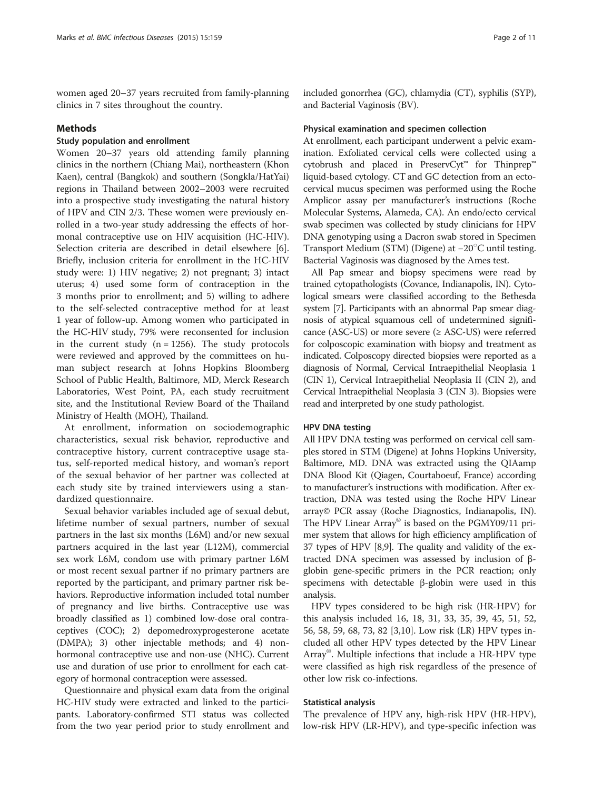women aged 20–37 years recruited from family-planning clinics in 7 sites throughout the country.

## Methods

## Study population and enrollment

Women 20–37 years old attending family planning clinics in the northern (Chiang Mai), northeastern (Khon Kaen), central (Bangkok) and southern (Songkla/HatYai) regions in Thailand between 2002–2003 were recruited into a prospective study investigating the natural history of HPV and CIN 2/3. These women were previously enrolled in a two-year study addressing the effects of hormonal contraceptive use on HIV acquisition (HC-HIV). Selection criteria are described in detail elsewhere [\[6](#page-9-0)]. Briefly, inclusion criteria for enrollment in the HC-HIV study were: 1) HIV negative; 2) not pregnant; 3) intact uterus; 4) used some form of contraception in the 3 months prior to enrollment; and 5) willing to adhere to the self-selected contraceptive method for at least 1 year of follow-up. Among women who participated in the HC-HIV study, 79% were reconsented for inclusion in the current study  $(n = 1256)$ . The study protocols were reviewed and approved by the committees on human subject research at Johns Hopkins Bloomberg School of Public Health, Baltimore, MD, Merck Research Laboratories, West Point, PA, each study recruitment site, and the Institutional Review Board of the Thailand Ministry of Health (MOH), Thailand.

At enrollment, information on sociodemographic characteristics, sexual risk behavior, reproductive and contraceptive history, current contraceptive usage status, self-reported medical history, and woman's report of the sexual behavior of her partner was collected at each study site by trained interviewers using a standardized questionnaire.

Sexual behavior variables included age of sexual debut, lifetime number of sexual partners, number of sexual partners in the last six months (L6M) and/or new sexual partners acquired in the last year (L12M), commercial sex work L6M, condom use with primary partner L6M or most recent sexual partner if no primary partners are reported by the participant, and primary partner risk behaviors. Reproductive information included total number of pregnancy and live births. Contraceptive use was broadly classified as 1) combined low-dose oral contraceptives (COC); 2) depomedroxyprogesterone acetate (DMPA); 3) other injectable methods; and 4) nonhormonal contraceptive use and non-use (NHC). Current use and duration of use prior to enrollment for each category of hormonal contraception were assessed.

Questionnaire and physical exam data from the original HC-HIV study were extracted and linked to the participants. Laboratory-confirmed STI status was collected from the two year period prior to study enrollment and included gonorrhea (GC), chlamydia (CT), syphilis (SYP), and Bacterial Vaginosis (BV).

### Physical examination and specimen collection

At enrollment, each participant underwent a pelvic examination. Exfoliated cervical cells were collected using a cytobrush and placed in PreservCyt™ for Thinprep™ liquid-based cytology. CT and GC detection from an ectocervical mucus specimen was performed using the Roche Amplicor assay per manufacturer's instructions (Roche Molecular Systems, Alameda, CA). An endo/ecto cervical swab specimen was collected by study clinicians for HPV DNA genotyping using a Dacron swab stored in Specimen Transport Medium (STM) (Digene) at −20○ C until testing. Bacterial Vaginosis was diagnosed by the Ames test.

All Pap smear and biopsy specimens were read by trained cytopathologists (Covance, Indianapolis, IN). Cytological smears were classified according to the Bethesda system [[7](#page-9-0)]. Participants with an abnormal Pap smear diagnosis of atypical squamous cell of undetermined significance (ASC-US) or more severe  $(\geq$  ASC-US) were referred for colposcopic examination with biopsy and treatment as indicated. Colposcopy directed biopsies were reported as a diagnosis of Normal, Cervical Intraepithelial Neoplasia 1 (CIN 1), Cervical Intraepithelial Neoplasia II (CIN 2), and Cervical Intraepithelial Neoplasia 3 (CIN 3). Biopsies were read and interpreted by one study pathologist.

#### HPV DNA testing

All HPV DNA testing was performed on cervical cell samples stored in STM (Digene) at Johns Hopkins University, Baltimore, MD. DNA was extracted using the QIAamp DNA Blood Kit (Qiagen, Courtaboeuf, France) according to manufacturer's instructions with modification. After extraction, DNA was tested using the Roche HPV Linear array© PCR assay (Roche Diagnostics, Indianapolis, IN). The HPV Linear Array<sup>®</sup> is based on the PGMY09/11 primer system that allows for high efficiency amplification of 37 types of HPV [[8,9\]](#page-9-0). The quality and validity of the extracted DNA specimen was assessed by inclusion of βglobin gene-specific primers in the PCR reaction; only specimens with detectable β-globin were used in this analysis.

HPV types considered to be high risk (HR-HPV) for this analysis included 16, 18, 31, 33, 35, 39, 45, 51, 52, 56, 58, 59, 68, 73, 82 [[3](#page-9-0),[10](#page-9-0)]. Low risk (LR) HPV types included all other HPV types detected by the HPV Linear Array©. Multiple infections that include a HR-HPV type were classified as high risk regardless of the presence of other low risk co-infections.

#### Statistical analysis

The prevalence of HPV any, high-risk HPV (HR-HPV), low-risk HPV (LR-HPV), and type-specific infection was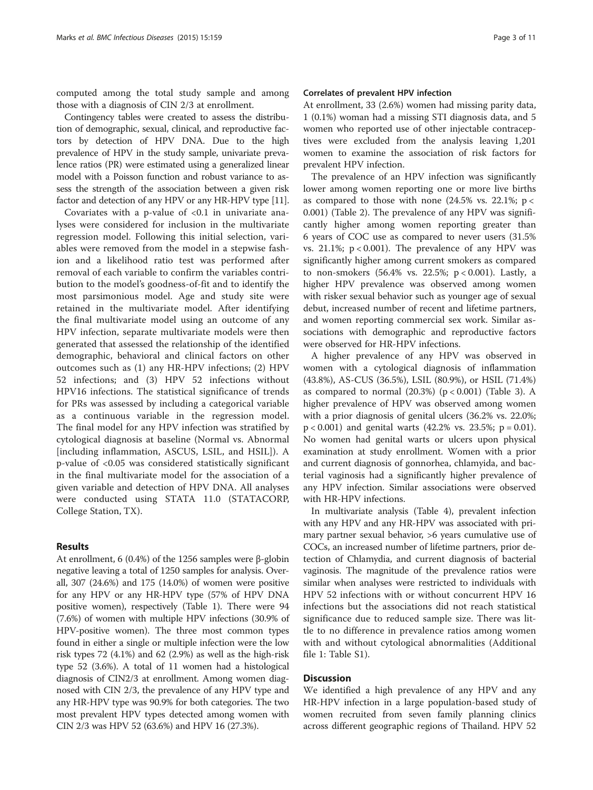computed among the total study sample and among those with a diagnosis of CIN 2/3 at enrollment.

Contingency tables were created to assess the distribution of demographic, sexual, clinical, and reproductive factors by detection of HPV DNA. Due to the high prevalence of HPV in the study sample, univariate prevalence ratios (PR) were estimated using a generalized linear model with a Poisson function and robust variance to assess the strength of the association between a given risk factor and detection of any HPV or any HR-HPV type [[11](#page-9-0)].

Covariates with a p-value of  $< 0.1$  in univariate analyses were considered for inclusion in the multivariate regression model. Following this initial selection, variables were removed from the model in a stepwise fashion and a likelihood ratio test was performed after removal of each variable to confirm the variables contribution to the model's goodness-of-fit and to identify the most parsimonious model. Age and study site were retained in the multivariate model. After identifying the final multivariate model using an outcome of any HPV infection, separate multivariate models were then generated that assessed the relationship of the identified demographic, behavioral and clinical factors on other outcomes such as (1) any HR-HPV infections; (2) HPV 52 infections; and (3) HPV 52 infections without HPV16 infections. The statistical significance of trends for PRs was assessed by including a categorical variable as a continuous variable in the regression model. The final model for any HPV infection was stratified by cytological diagnosis at baseline (Normal vs. Abnormal [including inflammation, ASCUS, LSIL, and HSIL]). A p-value of <0.05 was considered statistically significant in the final multivariate model for the association of a given variable and detection of HPV DNA. All analyses were conducted using STATA 11.0 (STATACORP, College Station, TX).

## Results

At enrollment, 6 (0.4%) of the 1256 samples were β-globin negative leaving a total of 1250 samples for analysis. Overall, 307 (24.6%) and 175 (14.0%) of women were positive for any HPV or any HR-HPV type (57% of HPV DNA positive women), respectively (Table [1](#page-3-0)). There were 94 (7.6%) of women with multiple HPV infections (30.9% of HPV-positive women). The three most common types found in either a single or multiple infection were the low risk types 72 (4.1%) and 62 (2.9%) as well as the high-risk type 52 (3.6%). A total of 11 women had a histological diagnosis of CIN2/3 at enrollment. Among women diagnosed with CIN 2/3, the prevalence of any HPV type and any HR-HPV type was 90.9% for both categories. The two most prevalent HPV types detected among women with CIN 2/3 was HPV 52 (63.6%) and HPV 16 (27.3%).

#### Correlates of prevalent HPV infection

At enrollment, 33 (2.6%) women had missing parity data, 1 (0.1%) woman had a missing STI diagnosis data, and 5 women who reported use of other injectable contraceptives were excluded from the analysis leaving 1,201 women to examine the association of risk factors for prevalent HPV infection.

The prevalence of an HPV infection was significantly lower among women reporting one or more live births as compared to those with none (24.5% vs. 22.1%;  $p <$ 0.001) (Table [2](#page-5-0)). The prevalence of any HPV was significantly higher among women reporting greater than 6 years of COC use as compared to never users (31.5% vs. 21.1%;  $p < 0.001$ ). The prevalence of any HPV was significantly higher among current smokers as compared to non-smokers (56.4% vs. 22.5%; p < 0.001). Lastly, a higher HPV prevalence was observed among women with risker sexual behavior such as younger age of sexual debut, increased number of recent and lifetime partners, and women reporting commercial sex work. Similar associations with demographic and reproductive factors were observed for HR-HPV infections.

A higher prevalence of any HPV was observed in women with a cytological diagnosis of inflammation (43.8%), AS-CUS (36.5%), LSIL (80.9%), or HSIL (71.4%) as compared to normal  $(20.3%)$   $(p < 0.001)$  (Table [3](#page-7-0)). A higher prevalence of HPV was observed among women with a prior diagnosis of genital ulcers (36.2% vs. 22.0%;  $p < 0.001$ ) and genital warts (42.2% vs. 23.5%;  $p = 0.01$ ). No women had genital warts or ulcers upon physical examination at study enrollment. Women with a prior and current diagnosis of gonnorhea, chlamyida, and bacterial vaginosis had a significantly higher prevalence of any HPV infection. Similar associations were observed with HR-HPV infections.

In multivariate analysis (Table [4\)](#page-8-0), prevalent infection with any HPV and any HR-HPV was associated with primary partner sexual behavior, >6 years cumulative use of COCs, an increased number of lifetime partners, prior detection of Chlamydia, and current diagnosis of bacterial vaginosis. The magnitude of the prevalence ratios were similar when analyses were restricted to individuals with HPV 52 infections with or without concurrent HPV 16 infections but the associations did not reach statistical significance due to reduced sample size. There was little to no difference in prevalence ratios among women with and without cytological abnormalities (Additional file [1](#page-9-0): Table S1).

## **Discussion**

We identified a high prevalence of any HPV and any HR-HPV infection in a large population-based study of women recruited from seven family planning clinics across different geographic regions of Thailand. HPV 52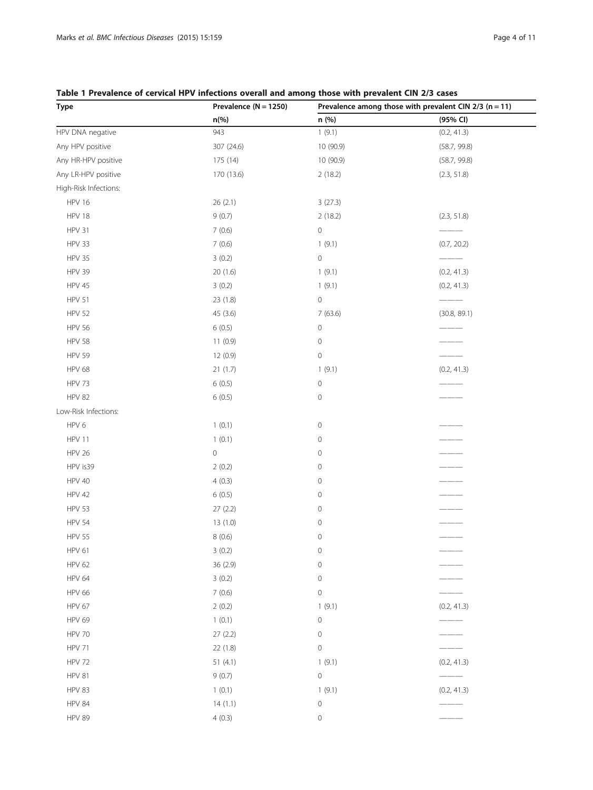## <span id="page-3-0"></span>Table 1 Prevalence of cervical HPV infections overall and among those with prevalent CIN 2/3 cases

| <b>Type</b>           | Prevalence ( $N = 1250$ ) |                     | Prevalence among those with prevalent CIN $2/3$ (n = 11) |
|-----------------------|---------------------------|---------------------|----------------------------------------------------------|
|                       | n(%)                      | n (%)               | (95% CI)                                                 |
| HPV DNA negative      | 943                       | 1(9.1)              | (0.2, 41.3)                                              |
| Any HPV positive      | 307 (24.6)                | 10 (90.9)           | (58.7, 99.8)                                             |
| Any HR-HPV positive   | 175 (14)                  | 10 (90.9)           | (58.7, 99.8)                                             |
| Any LR-HPV positive   | 170 (13.6)                | 2(18.2)             | (2.3, 51.8)                                              |
| High-Risk Infections: |                           |                     |                                                          |
| <b>HPV 16</b>         | 26(2.1)                   | 3(27.3)             |                                                          |
| <b>HPV 18</b>         | 9(0.7)                    | 2(18.2)             | (2.3, 51.8)                                              |
| HPV 31                | 7(0.6)                    | $\circ$             |                                                          |
| HPV 33                | 7(0.6)                    | 1(9.1)              | (0.7, 20.2)                                              |
| <b>HPV 35</b>         | 3(0.2)                    | $\circ$             |                                                          |
| <b>HPV 39</b>         | 20(1.6)                   | 1(9.1)              | (0.2, 41.3)                                              |
| <b>HPV 45</b>         | 3(0.2)                    | 1(9.1)              | (0.2, 41.3)                                              |
| <b>HPV 51</b>         | 23 (1.8)                  | $\mathsf{O}\xspace$ |                                                          |
| <b>HPV 52</b>         | 45 (3.6)                  | 7(63.6)             | (30.8, 89.1)                                             |
| <b>HPV 56</b>         | 6(0.5)                    | $\,0\,$             |                                                          |
| <b>HPV 58</b>         | 11(0.9)                   | $\mathbf 0$         |                                                          |
| <b>HPV 59</b>         | 12 (0.9)                  | $\mathsf{O}\xspace$ |                                                          |
| <b>HPV 68</b>         | 21(1.7)                   | 1(9.1)              | (0.2, 41.3)                                              |
| HPV 73                | 6(0.5)                    | $\mathsf{O}\xspace$ |                                                          |
| <b>HPV 82</b>         | 6(0.5)                    | $\mathbf 0$         |                                                          |
| Low-Risk Infections:  |                           |                     |                                                          |
| HPV 6                 | 1(0.1)                    | $\mathbf 0$         |                                                          |
| HPV 11                | 1(0.1)                    | $\mathbf 0$         |                                                          |
| <b>HPV 26</b>         | $\,0\,$                   | $\circ$             |                                                          |
| HPV is39              | 2(0.2)                    | $\mathbf 0$         |                                                          |
| <b>HPV 40</b>         | 4(0.3)                    | $\mathbf 0$         |                                                          |
| <b>HPV 42</b>         | 6(0.5)                    | $\circ$             |                                                          |
| <b>HPV 53</b>         | 27(2.2)                   | $\mathbf 0$         |                                                          |
| <b>HPV 54</b>         | 13(1.0)                   | $\mathbf 0$         |                                                          |
| <b>HPV 55</b>         | 8(0.6)                    | $\mathbf 0$         |                                                          |
| HPV 61                | 3(0.2)                    | $\mathbf 0$         |                                                          |
| <b>HPV 62</b>         | 36 (2.9)                  | $\mathbf 0$         |                                                          |
| <b>HPV 64</b>         | 3(0.2)                    | $\mathsf{O}\xspace$ |                                                          |
| <b>HPV 66</b>         | 7(0.6)                    | $\mathsf{O}\xspace$ |                                                          |
| HPV 67                | 2(0.2)                    | 1(9.1)              | (0.2, 41.3)                                              |
| <b>HPV 69</b>         | 1(0.1)                    | $\mathsf{O}\xspace$ |                                                          |
| <b>HPV 70</b>         | 27(2.2)                   | $\mathbf 0$         |                                                          |
| <b>HPV 71</b>         | 22 (1.8)                  | $\mathsf{O}\xspace$ |                                                          |
| <b>HPV 72</b>         | 51(4.1)                   | 1(9.1)              | (0.2, 41.3)                                              |
| <b>HPV 81</b>         | 9(0.7)                    | $\mathsf{O}\xspace$ |                                                          |
| HPV 83                | 1(0.1)                    | 1(9.1)              | (0.2, 41.3)                                              |
| <b>HPV 84</b>         | 14(1.1)                   | $\mathsf{O}\xspace$ |                                                          |
| <b>HPV 89</b>         | 4(0.3)                    | $\mathsf{O}\xspace$ |                                                          |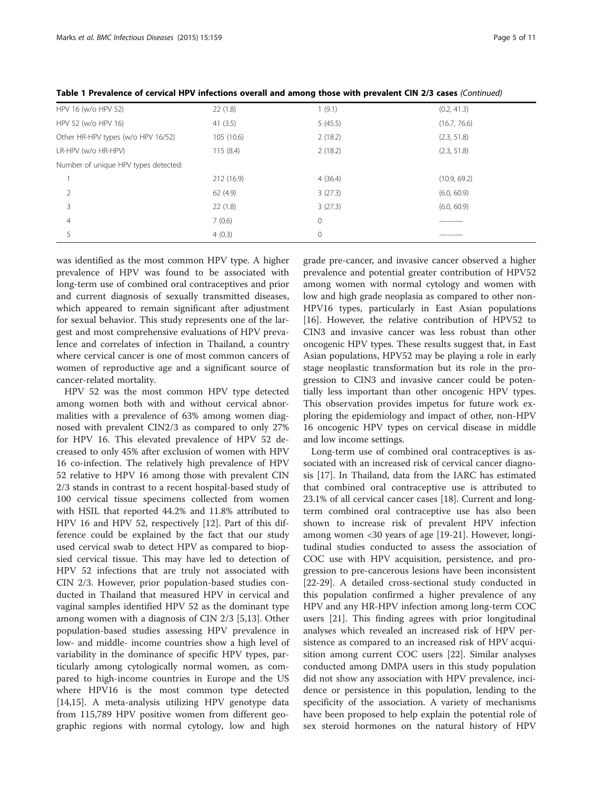| HPV 16 (w/o HPV 52)                  | 22(1.8)    | 1(9.1)       | (0.2, 41.3)  |
|--------------------------------------|------------|--------------|--------------|
| HPV 52 (w/o HPV 16)                  | 41(3.5)    | 5(45.5)      | (16.7, 76.6) |
| Other HR-HPV types (w/o HPV 16/52)   | 105 (10.6) | 2(18.2)      | (2.3, 51.8)  |
| LR-HPV (w/o HR-HPV)                  | 115(8.4)   | 2(18.2)      | (2.3, 51.8)  |
| Number of unique HPV types detected: |            |              |              |
|                                      | 212 (16.9) | 4(36.4)      | (10.9, 69.2) |
|                                      | 62(4.9)    | 3(27.3)      | (6.0, 60.9)  |
| 3                                    | 22(1.8)    | 3(27.3)      | (6.0, 60.9)  |
| 4                                    | 7(0.6)     | $\mathbf{0}$ |              |
|                                      | 4(0.3)     | $\mathbf{0}$ |              |

Table 1 Prevalence of cervical HPV infections overall and among those with prevalent CIN 2/3 cases (Continued)

was identified as the most common HPV type. A higher prevalence of HPV was found to be associated with long-term use of combined oral contraceptives and prior and current diagnosis of sexually transmitted diseases, which appeared to remain significant after adjustment for sexual behavior. This study represents one of the largest and most comprehensive evaluations of HPV prevalence and correlates of infection in Thailand, a country where cervical cancer is one of most common cancers of women of reproductive age and a significant source of cancer-related mortality.

HPV 52 was the most common HPV type detected among women both with and without cervical abnormalities with a prevalence of 63% among women diagnosed with prevalent CIN2/3 as compared to only 27% for HPV 16. This elevated prevalence of HPV 52 decreased to only 45% after exclusion of women with HPV 16 co-infection. The relatively high prevalence of HPV 52 relative to HPV 16 among those with prevalent CIN 2/3 stands in contrast to a recent hospital-based study of 100 cervical tissue specimens collected from women with HSIL that reported 44.2% and 11.8% attributed to HPV 16 and HPV 52, respectively [[12](#page-9-0)]. Part of this difference could be explained by the fact that our study used cervical swab to detect HPV as compared to biopsied cervical tissue. This may have led to detection of HPV 52 infections that are truly not associated with CIN 2/3. However, prior population-based studies conducted in Thailand that measured HPV in cervical and vaginal samples identified HPV 52 as the dominant type among women with a diagnosis of CIN 2/3 [[5,13\]](#page-9-0). Other population-based studies assessing HPV prevalence in low- and middle- income countries show a high level of variability in the dominance of specific HPV types, particularly among cytologically normal women, as compared to high-income countries in Europe and the US where HPV16 is the most common type detected [[14,15\]](#page-9-0). A meta-analysis utilizing HPV genotype data from 115,789 HPV positive women from different geographic regions with normal cytology, low and high grade pre-cancer, and invasive cancer observed a higher prevalence and potential greater contribution of HPV52 among women with normal cytology and women with low and high grade neoplasia as compared to other non-HPV16 types, particularly in East Asian populations [[16\]](#page-10-0). However, the relative contribution of HPV52 to CIN3 and invasive cancer was less robust than other oncogenic HPV types. These results suggest that, in East Asian populations, HPV52 may be playing a role in early stage neoplastic transformation but its role in the progression to CIN3 and invasive cancer could be potentially less important than other oncogenic HPV types. This observation provides impetus for future work exploring the epidemiology and impact of other, non-HPV 16 oncogenic HPV types on cervical disease in middle and low income settings.

Long-term use of combined oral contraceptives is associated with an increased risk of cervical cancer diagnosis [[17](#page-10-0)]. In Thailand, data from the IARC has estimated that combined oral contraceptive use is attributed to 23.1% of all cervical cancer cases [[18\]](#page-10-0). Current and longterm combined oral contraceptive use has also been shown to increase risk of prevalent HPV infection among women <30 years of age [[19-21\]](#page-10-0). However, longitudinal studies conducted to assess the association of COC use with HPV acquisition, persistence, and progression to pre-cancerous lesions have been inconsistent [[22-29](#page-10-0)]. A detailed cross-sectional study conducted in this population confirmed a higher prevalence of any HPV and any HR-HPV infection among long-term COC users [[21\]](#page-10-0). This finding agrees with prior longitudinal analyses which revealed an increased risk of HPV persistence as compared to an increased risk of HPV acquisition among current COC users [[22](#page-10-0)]. Similar analyses conducted among DMPA users in this study population did not show any association with HPV prevalence, incidence or persistence in this population, lending to the specificity of the association. A variety of mechanisms have been proposed to help explain the potential role of sex steroid hormones on the natural history of HPV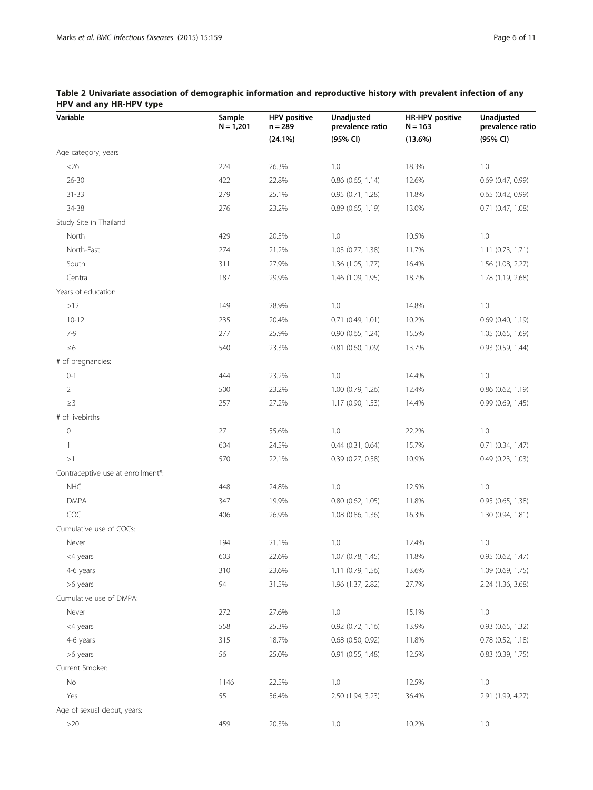| Variable                          | Sample<br>$N = 1,201$ | <b>HPV</b> positive<br>$n = 289$ | Unadjusted<br>prevalence ratio | <b>HR-HPV positive</b><br>$N = 163$ | Unadjusted<br>prevalence ratio |
|-----------------------------------|-----------------------|----------------------------------|--------------------------------|-------------------------------------|--------------------------------|
|                                   |                       | (24.1%)                          | (95% CI)                       | $(13.6\%)$                          | (95% CI)                       |
| Age category, years               |                       |                                  |                                |                                     |                                |
| $<$ 26                            | 224                   | 26.3%                            | 1.0                            | 18.3%                               | 1.0                            |
| $26 - 30$                         | 422                   | 22.8%                            | $0.86$ (0.65, 1.14)            | 12.6%                               | $0.69$ (0.47, 0.99)            |
| $31 - 33$                         | 279                   | 25.1%                            | 0.95(0.71, 1.28)               | 11.8%                               | 0.65(0.42, 0.99)               |
| 34-38                             | 276                   | 23.2%                            | 0.89(0.65, 1.19)               | 13.0%                               | $0.71$ $(0.47, 1.08)$          |
| Study Site in Thailand            |                       |                                  |                                |                                     |                                |
| North                             | 429                   | 20.5%                            | 1.0                            | 10.5%                               | 1.0                            |
| North-East                        | 274                   | 21.2%                            | 1.03 (0.77, 1.38)              | 11.7%                               | 1.11(0.73, 1.71)               |
| South                             | 311                   | 27.9%                            | 1.36 (1.05, 1.77)              | 16.4%                               | 1.56 (1.08, 2.27)              |
| Central                           | 187                   | 29.9%                            | 1.46 (1.09, 1.95)              | 18.7%                               | 1.78 (1.19, 2.68)              |
| Years of education                |                       |                                  |                                |                                     |                                |
| $>12$                             | 149                   | 28.9%                            | 1.0                            | 14.8%                               | 1.0                            |
| $10 - 12$                         | 235                   | 20.4%                            | 0.71(0.49, 1.01)               | 10.2%                               | $0.69$ (0.40, 1.19)            |
| $7-9$                             | 277                   | 25.9%                            | 0.90(0.65, 1.24)               | 15.5%                               | 1.05(0.65, 1.69)               |
| $\leq 6$                          | 540                   | 23.3%                            | $0.81$ $(0.60, 1.09)$          | 13.7%                               | 0.93(0.59, 1.44)               |
| # of pregnancies:                 |                       |                                  |                                |                                     |                                |
| $0 - 1$                           | 444                   | 23.2%                            | 1.0                            | 14.4%                               | 1.0                            |
| 2                                 | 500                   | 23.2%                            | 1.00 (0.79, 1.26)              | 12.4%                               | 0.86(0.62, 1.19)               |
| $\geq$ 3                          | 257                   | 27.2%                            | 1.17(0.90, 1.53)               | 14.4%                               | 0.99(0.69, 1.45)               |
| # of livebirths                   |                       |                                  |                                |                                     |                                |
| $\mathbf 0$                       | 27                    | 55.6%                            | 1.0                            | 22.2%                               | 1.0                            |
| $\mathbf{1}$                      | 604                   | 24.5%                            | $0.44$ $(0.31, 0.64)$          | 15.7%                               | 0.71(0.34, 1.47)               |
| >1                                | 570                   | 22.1%                            | 0.39(0.27, 0.58)               | 10.9%                               | 0.49(0.23, 1.03)               |
| Contraceptive use at enrollment*: |                       |                                  |                                |                                     |                                |
| <b>NHC</b>                        | 448                   | 24.8%                            | 1.0                            | 12.5%                               | 1.0                            |
| <b>DMPA</b>                       | 347                   | 19.9%                            | 0.80 (0.62, 1.05)              | 11.8%                               | 0.95(0.65, 1.38)               |
| COC                               | 406                   | 26.9%                            | 1.08 (0.86, 1.36)              | 16.3%                               | 1.30 (0.94, 1.81)              |
| Cumulative use of COCs:           |                       |                                  |                                |                                     |                                |
| Never                             | 194                   | 21.1%                            | 1.0                            | 12.4%                               | 1.0                            |
| <4 years                          | 603                   | 22.6%                            | 1.07(0.78, 1.45)               | 11.8%                               | 0.95 (0.62, 1.47)              |
| 4-6 years                         | 310                   | 23.6%                            | 1.11 (0.79, 1.56)              | 13.6%                               | 1.09 (0.69, 1.75)              |
| >6 years                          | 94                    | 31.5%                            | 1.96 (1.37, 2.82)              | 27.7%                               | 2.24 (1.36, 3.68)              |
| Cumulative use of DMPA:           |                       |                                  |                                |                                     |                                |
| Never                             | 272                   | 27.6%                            | 1.0                            | 15.1%                               | 1.0                            |
| <4 years                          | 558                   | 25.3%                            | $0.92$ $(0.72, 1.16)$          | 13.9%                               | 0.93 (0.65, 1.32)              |
| 4-6 years                         | 315                   | 18.7%                            | $0.68$ (0.50, 0.92)            | 11.8%                               | $0.78$ $(0.52, 1.18)$          |
| >6 years                          | 56                    | 25.0%                            | $0.91$ $(0.55, 1.48)$          | 12.5%                               | $0.83$ $(0.39, 1.75)$          |
| Current Smoker:                   |                       |                                  |                                |                                     |                                |
| $\rm No$                          | 1146                  | 22.5%                            | 1.0                            | 12.5%                               | 1.0                            |
| Yes                               | 55                    | 56.4%                            | 2.50 (1.94, 3.23)              | 36.4%                               | 2.91 (1.99, 4.27)              |
| Age of sexual debut, years:       |                       |                                  |                                |                                     |                                |
| $>20$                             | 459                   | 20.3%                            | 1.0                            | 10.2%                               | 1.0                            |

## <span id="page-5-0"></span>Table 2 Univariate association of demographic information and reproductive history with prevalent infection of any HPV and any HR-HPV type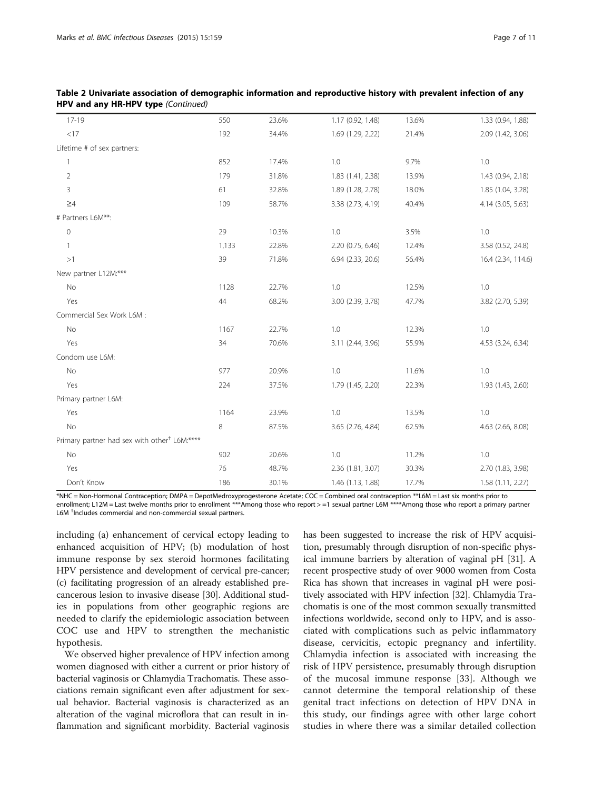| $\mathbf{u}$ will any rin in a type (commaca)            |       |       |                   |       |                    |
|----------------------------------------------------------|-------|-------|-------------------|-------|--------------------|
| $17 - 19$                                                | 550   | 23.6% | 1.17 (0.92, 1.48) | 13.6% | 1.33 (0.94, 1.88)  |
| $<\!\!17$                                                | 192   | 34.4% | 1.69 (1.29, 2.22) | 21.4% | 2.09 (1.42, 3.06)  |
| Lifetime # of sex partners:                              |       |       |                   |       |                    |
| 1                                                        | 852   | 17.4% | 1.0               | 9.7%  | 1.0                |
| $\overline{2}$                                           | 179   | 31.8% | 1.83 (1.41, 2.38) | 13.9% | 1.43 (0.94, 2.18)  |
| 3                                                        | 61    | 32.8% | 1.89 (1.28, 2.78) | 18.0% | 1.85 (1.04, 3.28)  |
| $\geq 4$                                                 | 109   | 58.7% | 3.38 (2.73, 4.19) | 40.4% | 4.14 (3.05, 5.63)  |
| # Partners L6M**:                                        |       |       |                   |       |                    |
| 0                                                        | 29    | 10.3% | 1.0               | 3.5%  | 1.0                |
| $\mathbf{1}$                                             | 1,133 | 22.8% | 2.20 (0.75, 6.46) | 12.4% | 3.58 (0.52, 24.8)  |
| >1                                                       | 39    | 71.8% | 6.94 (2.33, 20.6) | 56.4% | 16.4 (2.34, 114.6) |
| New partner L12M:***                                     |       |       |                   |       |                    |
| No                                                       | 1128  | 22.7% | 1.0               | 12.5% | 1.0                |
| Yes                                                      | 44    | 68.2% | 3.00 (2.39, 3.78) | 47.7% | 3.82 (2.70, 5.39)  |
| Commercial Sex Work L6M :                                |       |       |                   |       |                    |
| No                                                       | 1167  | 22.7% | 1.0               | 12.3% | $1.0\,$            |
| Yes                                                      | 34    | 70.6% | 3.11 (2.44, 3.96) | 55.9% | 4.53 (3.24, 6.34)  |
| Condom use L6M:                                          |       |       |                   |       |                    |
| <b>No</b>                                                | 977   | 20.9% | 1.0               | 11.6% | $1.0\,$            |
| Yes                                                      | 224   | 37.5% | 1.79 (1.45, 2.20) | 22.3% | 1.93 (1.43, 2.60)  |
| Primary partner L6M:                                     |       |       |                   |       |                    |
| Yes                                                      | 1164  | 23.9% | 1.0               | 13.5% | 1.0                |
| No                                                       | 8     | 87.5% | 3.65 (2.76, 4.84) | 62.5% | 4.63 (2.66, 8.08)  |
| Primary partner had sex with other <sup>†</sup> L6M:**** |       |       |                   |       |                    |
| No                                                       | 902   | 20.6% | $1.0\,$           | 11.2% | 1.0                |
| Yes                                                      | 76    | 48.7% | 2.36 (1.81, 3.07) | 30.3% | 2.70 (1.83, 3.98)  |
| Don't Know                                               | 186   | 30.1% | 1.46 (1.13, 1.88) | 17.7% | 1.58 (1.11, 2.27)  |

| Table 2 Univariate association of demographic information and reproductive history with prevalent infection of any |  |
|--------------------------------------------------------------------------------------------------------------------|--|
| <b>HPV and any HR-HPV type (Continued)</b>                                                                         |  |

\*NHC = Non-Hormonal Contraception; DMPA = DepotMedroxyprogesterone Acetate; COC = Combined oral contraception \*\*L6M = Last six months prior to enrollment; L12M = Last twelve months prior to enrollment \*\*\*Among those who report > =1 sexual partner L6M \*\*\*\*Among those who report a primary partner L6M † Includes commercial and non-commercial sexual partners.

including (a) enhancement of cervical ectopy leading to enhanced acquisition of HPV; (b) modulation of host immune response by sex steroid hormones facilitating HPV persistence and development of cervical pre-cancer; (c) facilitating progression of an already established precancerous lesion to invasive disease [[30](#page-10-0)]. Additional studies in populations from other geographic regions are needed to clarify the epidemiologic association between COC use and HPV to strengthen the mechanistic hypothesis.

We observed higher prevalence of HPV infection among women diagnosed with either a current or prior history of bacterial vaginosis or Chlamydia Trachomatis. These associations remain significant even after adjustment for sexual behavior. Bacterial vaginosis is characterized as an alteration of the vaginal microflora that can result in inflammation and significant morbidity. Bacterial vaginosis has been suggested to increase the risk of HPV acquisition, presumably through disruption of non-specific physical immune barriers by alteration of vaginal pH [[31\]](#page-10-0). A recent prospective study of over 9000 women from Costa Rica has shown that increases in vaginal pH were positively associated with HPV infection [\[32\]](#page-10-0). Chlamydia Trachomatis is one of the most common sexually transmitted infections worldwide, second only to HPV, and is associated with complications such as pelvic inflammatory disease, cervicitis, ectopic pregnancy and infertility. Chlamydia infection is associated with increasing the risk of HPV persistence, presumably through disruption of the mucosal immune response [[33\]](#page-10-0). Although we cannot determine the temporal relationship of these genital tract infections on detection of HPV DNA in this study, our findings agree with other large cohort studies in where there was a similar detailed collection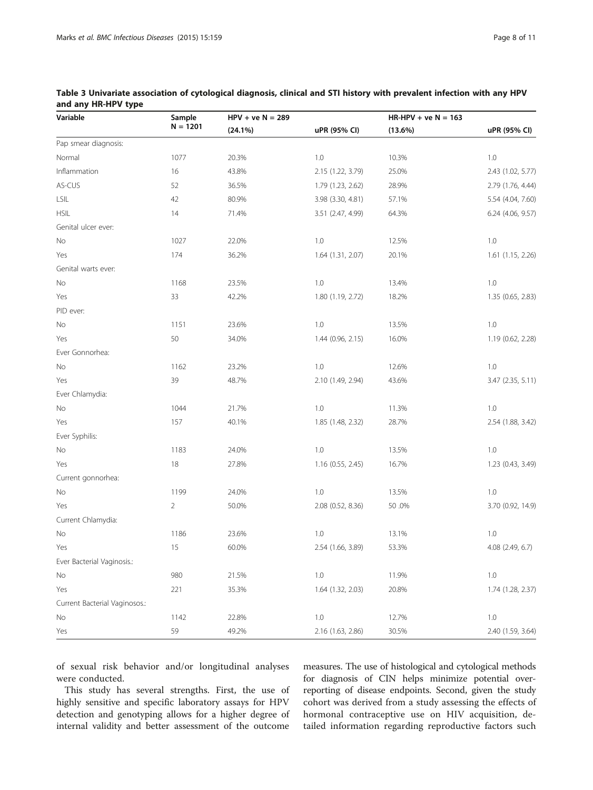| Variable                      | Sample         | $HPV + ve N = 289$ |                   | $HR-HPV + ve N = 163$ |                   |
|-------------------------------|----------------|--------------------|-------------------|-----------------------|-------------------|
|                               | $N = 1201$     | $(24.1\%)$         | uPR (95% CI)      | $(13.6\%)$            | uPR (95% CI)      |
| Pap smear diagnosis:          |                |                    |                   |                       |                   |
| Normal                        | 1077           | 20.3%              | 1.0               | 10.3%                 | 1.0               |
| Inflammation                  | 16             | 43.8%              | 2.15 (1.22, 3.79) | 25.0%                 | 2.43 (1.02, 5.77) |
| AS-CUS                        | 52             | 36.5%              | 1.79 (1.23, 2.62) | 28.9%                 | 2.79 (1.76, 4.44) |
| $\ensuremath{\mathsf{LSIL}}$  | 42             | 80.9%              | 3.98 (3.30, 4.81) | 57.1%                 | 5.54 (4.04, 7.60) |
| <b>HSIL</b>                   | 14             | 71.4%              | 3.51 (2.47, 4.99) | 64.3%                 | 6.24 (4.06, 9.57) |
| Genital ulcer ever:           |                |                    |                   |                       |                   |
| No                            | 1027           | 22.0%              | 1.0               | 12.5%                 | 1.0               |
| Yes                           | 174            | 36.2%              | 1.64(1.31, 2.07)  | 20.1%                 | 1.61 (1.15, 2.26) |
| Genital warts ever:           |                |                    |                   |                       |                   |
| No                            | 1168           | 23.5%              | 1.0               | 13.4%                 | 1.0               |
| Yes                           | 33             | 42.2%              | 1.80 (1.19, 2.72) | 18.2%                 | 1.35 (0.65, 2.83) |
| PID ever:                     |                |                    |                   |                       |                   |
| No                            | 1151           | 23.6%              | 1.0               | 13.5%                 | 1.0               |
| Yes                           | 50             | 34.0%              | 1.44(0.96, 2.15)  | 16.0%                 | 1.19 (0.62, 2.28) |
| Ever Gonnorhea:               |                |                    |                   |                       |                   |
| No                            | 1162           | 23.2%              | 1.0               | 12.6%                 | 1.0               |
| Yes                           | 39             | 48.7%              | 2.10 (1.49, 2.94) | 43.6%                 | 3.47 (2.35, 5.11) |
| Ever Chlamydia:               |                |                    |                   |                       |                   |
| No                            | 1044           | 21.7%              | 1.0               | 11.3%                 | 1.0               |
| Yes                           | 157            | 40.1%              | 1.85 (1.48, 2.32) | 28.7%                 | 2.54 (1.88, 3.42) |
| Ever Syphilis:                |                |                    |                   |                       |                   |
| No                            | 1183           | 24.0%              | 1.0               | 13.5%                 | 1.0               |
| Yes                           | 18             | 27.8%              | 1.16(0.55, 2.45)  | 16.7%                 | 1.23 (0.43, 3.49) |
| Current gonnorhea:            |                |                    |                   |                       |                   |
| No                            | 1199           | 24.0%              | 1.0               | 13.5%                 | 1.0               |
| Yes                           | $\overline{2}$ | 50.0%              | 2.08 (0.52, 8.36) | 50.0%                 | 3.70 (0.92, 14.9) |
| Current Chlamydia:            |                |                    |                   |                       |                   |
| No                            | 1186           | 23.6%              | 1.0               | 13.1%                 | 1.0               |
| Yes                           | 15             | 60.0%              | 2.54 (1.66, 3.89) | 53.3%                 | 4.08 (2.49, 6.7)  |
| Ever Bacterial Vaginosis.:    |                |                    |                   |                       |                   |
| No                            | 980            | 21.5%              | 1.0               | 11.9%                 | 1.0               |
| Yes                           | 221            | 35.3%              | 1.64 (1.32, 2.03) | 20.8%                 | 1.74 (1.28, 2.37) |
| Current Bacterial Vaginosos.: |                |                    |                   |                       |                   |
| No                            | 1142           | 22.8%              | $1.0\,$           | 12.7%                 | 1.0               |
| Yes                           | 59             | 49.2%              | 2.16 (1.63, 2.86) | 30.5%                 | 2.40 (1.59, 3.64) |

<span id="page-7-0"></span>Table 3 Univariate association of cytological diagnosis, clinical and STI history with prevalent infection with any HPV and any HR-HPV type

of sexual risk behavior and/or longitudinal analyses were conducted.

This study has several strengths. First, the use of highly sensitive and specific laboratory assays for HPV detection and genotyping allows for a higher degree of internal validity and better assessment of the outcome

measures. The use of histological and cytological methods for diagnosis of CIN helps minimize potential overreporting of disease endpoints. Second, given the study cohort was derived from a study assessing the effects of hormonal contraceptive use on HIV acquisition, detailed information regarding reproductive factors such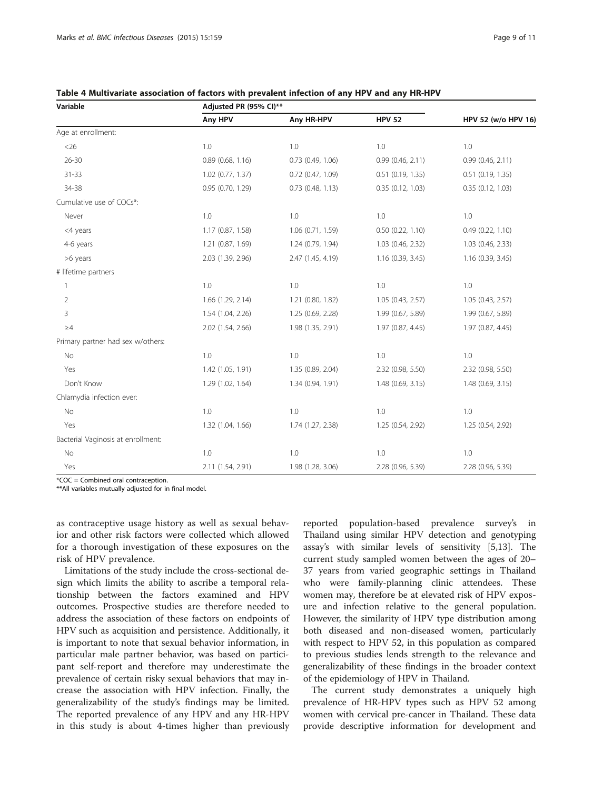| Variable                           | Adjusted PR (95% CI)** |                       |                       |                       |
|------------------------------------|------------------------|-----------------------|-----------------------|-----------------------|
|                                    | Any HPV                | Any HR-HPV            | <b>HPV 52</b>         | HPV 52 (w/o HPV 16)   |
| Age at enrollment:                 |                        |                       |                       |                       |
| $<$ 26                             | 1.0                    | 1.0                   | 1.0                   | 1.0                   |
| $26 - 30$                          | 0.89(0.68, 1.16)       | $0.73$ $(0.49, 1.06)$ | 0.99(0.46, 2.11)      | 0.99(0.46, 2.11)      |
| $31 - 33$                          | $1.02$ (0.77, 1.37)    | $0.72$ $(0.47, 1.09)$ | $0.51$ $(0.19, 1.35)$ | $0.51$ $(0.19, 1.35)$ |
| 34-38                              | 0.95 (0.70, 1.29)      | $0.73$ (0.48, 1.13)   | 0.35(0.12, 1.03)      | 0.35(0.12, 1.03)      |
| Cumulative use of COCs*:           |                        |                       |                       |                       |
| Never                              | 1.0                    | 1.0                   | 1.0                   | 1.0                   |
| <4 years                           | 1.17(0.87, 1.58)       | 1.06 (0.71, 1.59)     | $0.50$ $(0.22, 1.10)$ | 0.49(0.22, 1.10)      |
| 4-6 years                          | 1.21 (0.87, 1.69)      | 1.24 (0.79, 1.94)     | 1.03 (0.46, 2.32)     | 1.03 (0.46, 2.33)     |
| >6 years                           | 2.03 (1.39, 2.96)      | 2.47 (1.45, 4.19)     | 1.16 (0.39, 3.45)     | $1.16$ (0.39, 3.45)   |
| # lifetime partners                |                        |                       |                       |                       |
| 1                                  | 1.0                    | 1.0                   | 1.0                   | 1.0                   |
| $\overline{2}$                     | 1.66 (1.29, 2.14)      | 1.21 (0.80, 1.82)     | 1.05 (0.43, 2.57)     | 1.05(0.43, 2.57)      |
| 3                                  | 1.54 (1.04, 2.26)      | 1.25 (0.69, 2.28)     | 1.99 (0.67, 5.89)     | 1.99 (0.67, 5.89)     |
| $\geq 4$                           | 2.02 (1.54, 2.66)      | 1.98 (1.35, 2.91)     | 1.97 (0.87, 4.45)     | 1.97 (0.87, 4.45)     |
| Primary partner had sex w/others:  |                        |                       |                       |                       |
| No                                 | 1.0                    | 1.0                   | 1.0                   | 1.0                   |
| Yes                                | 1.42 (1.05, 1.91)      | 1.35 (0.89, 2.04)     | 2.32 (0.98, 5.50)     | 2.32 (0.98, 5.50)     |
| Don't Know                         | 1.29 (1.02, 1.64)      | 1.34 (0.94, 1.91)     | 1.48 (0.69, 3.15)     | 1.48 (0.69, 3.15)     |
| Chlamydia infection ever:          |                        |                       |                       |                       |
| No                                 | 1.0                    | 1.0                   | 1.0                   | 1.0                   |
| Yes                                | 1.32 (1.04, 1.66)      | 1.74 (1.27, 2.38)     | 1.25 (0.54, 2.92)     | 1.25 (0.54, 2.92)     |
| Bacterial Vaginosis at enrollment: |                        |                       |                       |                       |
| No                                 | 1.0                    | 1.0                   | 1.0                   | 1.0                   |
| Yes                                | 2.11 (1.54, 2.91)      | 1.98 (1.28, 3.06)     | 2.28 (0.96, 5.39)     | 2.28 (0.96, 5.39)     |

<span id="page-8-0"></span>Table 4 Multivariate association of factors with prevalent infection of any HPV and any HR-HPV

 $*COC = Combined oral contraction.$ 

\*\*All variables mutually adjusted for in final model.

as contraceptive usage history as well as sexual behavior and other risk factors were collected which allowed for a thorough investigation of these exposures on the risk of HPV prevalence.

Limitations of the study include the cross-sectional design which limits the ability to ascribe a temporal relationship between the factors examined and HPV outcomes. Prospective studies are therefore needed to address the association of these factors on endpoints of HPV such as acquisition and persistence. Additionally, it is important to note that sexual behavior information, in particular male partner behavior, was based on participant self-report and therefore may underestimate the prevalence of certain risky sexual behaviors that may increase the association with HPV infection. Finally, the generalizability of the study's findings may be limited. The reported prevalence of any HPV and any HR-HPV in this study is about 4-times higher than previously

reported population-based prevalence survey's in Thailand using similar HPV detection and genotyping assay's with similar levels of sensitivity [\[5,13\]](#page-9-0). The current study sampled women between the ages of 20– 37 years from varied geographic settings in Thailand who were family-planning clinic attendees. These women may, therefore be at elevated risk of HPV exposure and infection relative to the general population. However, the similarity of HPV type distribution among both diseased and non-diseased women, particularly with respect to HPV 52, in this population as compared to previous studies lends strength to the relevance and generalizability of these findings in the broader context of the epidemiology of HPV in Thailand.

The current study demonstrates a uniquely high prevalence of HR-HPV types such as HPV 52 among women with cervical pre-cancer in Thailand. These data provide descriptive information for development and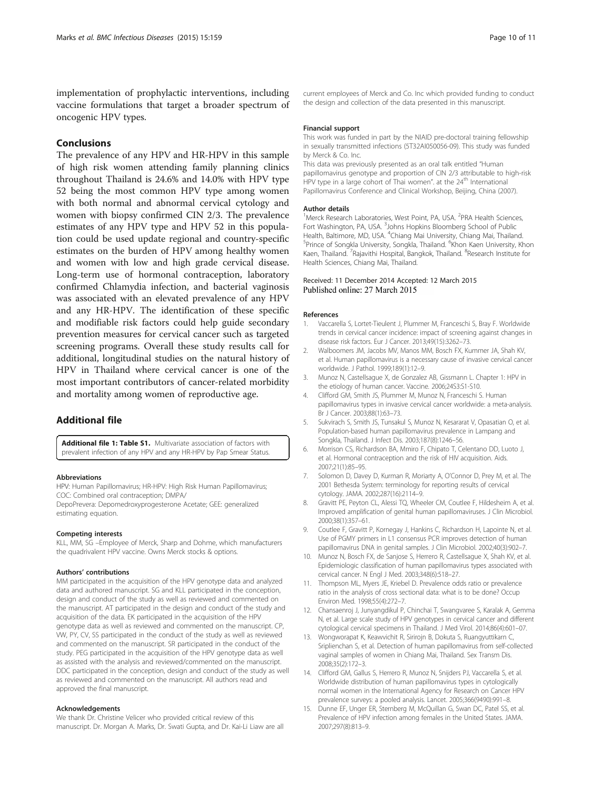<span id="page-9-0"></span>implementation of prophylactic interventions, including vaccine formulations that target a broader spectrum of oncogenic HPV types.

## Conclusions

The prevalence of any HPV and HR-HPV in this sample of high risk women attending family planning clinics throughout Thailand is 24.6% and 14.0% with HPV type 52 being the most common HPV type among women with both normal and abnormal cervical cytology and women with biopsy confirmed CIN 2/3. The prevalence estimates of any HPV type and HPV 52 in this population could be used update regional and country-specific estimates on the burden of HPV among healthy women and women with low and high grade cervical disease. Long-term use of hormonal contraception, laboratory confirmed Chlamydia infection, and bacterial vaginosis was associated with an elevated prevalence of any HPV and any HR-HPV. The identification of these specific and modifiable risk factors could help guide secondary prevention measures for cervical cancer such as targeted screening programs. Overall these study results call for additional, longitudinal studies on the natural history of HPV in Thailand where cervical cancer is one of the most important contributors of cancer-related morbidity and mortality among women of reproductive age.

## Additional file

[Additional file 1: Table S1.](http://www.biomedcentral.com/content/supplementary/s12879-015-0886-z-s1.docx) Multivariate association of factors with prevalent infection of any HPV and any HR-HPV by Pap Smear Status.

#### Abbreviations

HPV: Human Papillomavirus; HR-HPV: High Risk Human Papillomavirus; COC: Combined oral contraception; DMPA/

DepoPrevera: Depomedroxyprogesterone Acetate; GEE: generalized estimating equation.

#### Competing interests

KLL, MM, SG –Employee of Merck, Sharp and Dohme, which manufacturers the quadrivalent HPV vaccine. Owns Merck stocks & options.

#### Authors' contributions

MM participated in the acquisition of the HPV genotype data and analyzed data and authored manuscript. SG and KLL participated in the conception, design and conduct of the study as well as reviewed and commented on the manuscript. AT participated in the design and conduct of the study and acquisition of the data. EK participated in the acquisition of the HPV genotype data as well as reviewed and commented on the manuscript. CP, VW, PY, CV, SS participated in the conduct of the study as well as reviewed and commented on the manuscript. SR participated in the conduct of the study. PEG participated in the acquisition of the HPV genotype data as well as assisted with the analysis and reviewed/commented on the manuscript. DDC participated in the conception, design and conduct of the study as well as reviewed and commented on the manuscript. All authors read and approved the final manuscript.

#### Acknowledgements

We thank Dr. Christine Velicer who provided critical review of this manuscript. Dr. Morgan A. Marks, Dr. Swati Gupta, and Dr. Kai-Li Liaw are all current employees of Merck and Co. Inc which provided funding to conduct the design and collection of the data presented in this manuscript.

#### Financial support

This work was funded in part by the NIAID pre-doctoral training fellowship in sexually transmitted infections (5T32AI050056-09). This study was funded by Merck & Co. Inc.

This data was previously presented as an oral talk entitled "Human papillomavirus genotype and proportion of CIN 2/3 attributable to high-risk HPV type in a large cohort of Thai women", at the 24<sup>th</sup> International Papillomavirus Conference and Clinical Workshop, Beijing, China (2007).

#### Author details

<sup>1</sup>Merck Research Laboratories, West Point, PA, USA. <sup>2</sup>PRA Health Sciences, Fort Washington, PA, USA. <sup>3</sup> Johns Hopkins Bloomberg School of Public Health, Baltimore, MD, USA. <sup>4</sup>Chiang Mai University, Chiang Mai, Thailand<br><sup>5</sup>Prince of Songkla University, Songkla, Thailand, <sup>6</sup>Khon Kaen University, K Prince of Songkla University, Songkla, Thailand. <sup>6</sup>Khon Kaen University, Khon Kaen, Thailand. <sup>7</sup> Rajavithi Hospital, Bangkok, Thailand. <sup>8</sup> Research Institute for Health Sciences, Chiang Mai, Thailand.

### Received: 11 December 2014 Accepted: 12 March 2015 Published online: 27 March 2015

#### References

- 1. Vaccarella S, Lortet-Tieulent J, Plummer M, Franceschi S, Bray F. Worldwide trends in cervical cancer incidence: impact of screening against changes in disease risk factors. Eur J Cancer. 2013;49(15):3262–73.
- 2. Walboomers JM, Jacobs MV, Manos MM, Bosch FX, Kummer JA, Shah KV, et al. Human papillomavirus is a necessary cause of invasive cervical cancer worldwide. J Pathol. 1999;189(1):12–9.
- 3. Munoz N, Castellsague X, de Gonzalez AB, Gissmann L. Chapter 1: HPV in the etiology of human cancer. Vaccine. 2006;24S3:S1-S10.
- 4. Clifford GM, Smith JS, Plummer M, Munoz N, Franceschi S. Human papillomavirus types in invasive cervical cancer worldwide: a meta-analysis. Br J Cancer. 2003;88(1):63–73.
- 5. Sukvirach S, Smith JS, Tunsakul S, Munoz N, Kesararat V, Opasatian O, et al. Population-based human papillomavirus prevalence in Lampang and Songkla, Thailand. J Infect Dis. 2003;187(8):1246–56.
- 6. Morrison CS, Richardson BA, Mmiro F, Chipato T, Celentano DD, Luoto J, et al. Hormonal contraception and the risk of HIV acquisition. Aids. 2007;21(1):85–95.
- 7. Solomon D, Davey D, Kurman R, Moriarty A, O'Connor D, Prey M, et al. The 2001 Bethesda System: terminology for reporting results of cervical cytology. JAMA. 2002;287(16):2114–9.
- 8. Gravitt PE, Peyton CL, Alessi TQ, Wheeler CM, Coutlee F, Hildesheim A, et al. Improved amplification of genital human papillomaviruses. J Clin Microbiol. 2000;38(1):357–61.
- 9. Coutlee F, Gravitt P, Kornegay J, Hankins C, Richardson H, Lapointe N, et al. Use of PGMY primers in L1 consensus PCR improves detection of human papillomavirus DNA in genital samples. J Clin Microbiol. 2002;40(3):902–7.
- 10. Munoz N, Bosch FX, de Sanjose S, Herrero R, Castellsague X, Shah KV, et al. Epidemiologic classification of human papillomavirus types associated with cervical cancer. N Engl J Med. 2003;348(6):518–27.
- 11. Thompson ML, Myers JE, Kriebel D. Prevalence odds ratio or prevalence ratio in the analysis of cross sectional data: what is to be done? Occup Environ Med. 1998;55(4):272–7.
- 12. Chansaenroj J, Junyangdikul P, Chinchai T, Swangvaree S, Karalak A, Gemma N, et al. Large scale study of HPV genotypes in cervical cancer and different cytological cervical specimens in Thailand. J Med Virol. 2014;86(4):601–07.
- 13. Wongworapat K, Keawvichit R, Sirirojn B, Dokuta S, Ruangyuttikarn C, Sriplienchan S, et al. Detection of human papillomavirus from self-collected vaginal samples of women in Chiang Mai, Thailand. Sex Transm Dis. 2008;35(2):172–3.
- 14. Clifford GM, Gallus S, Herrero R, Munoz N, Snijders PJ, Vaccarella S, et al. Worldwide distribution of human papillomavirus types in cytologically normal women in the International Agency for Research on Cancer HPV prevalence surveys: a pooled analysis. Lancet. 2005;366(9490):991–8.
- 15. Dunne EF, Unger ER, Sternberg M, McQuillan G, Swan DC, Patel SS, et al. Prevalence of HPV infection among females in the United States. JAMA. 2007;297(8):813–9.